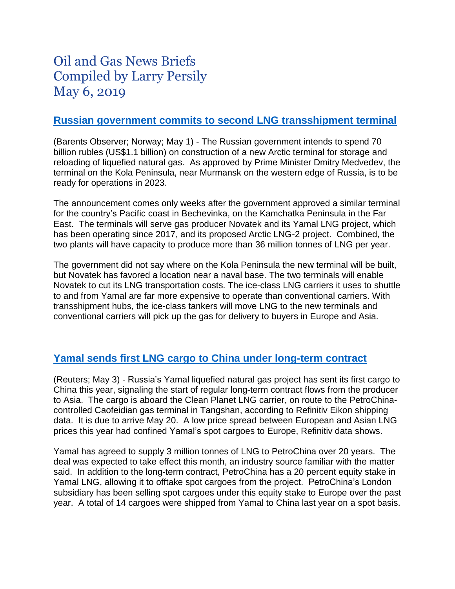# Oil and Gas News Briefs Compiled by Larry Persily May 6, 2019

#### **[Russian government commits to second LNG transshipment terminal](https://www.arctictoday.com/russia-approves-e1-billion-lng-transshipment-terminal-on-kola-coast/)**

(Barents Observer; Norway; May 1) - The Russian government intends to spend 70 billion rubles (US\$1.1 billion) on construction of a new Arctic terminal for storage and reloading of liquefied natural gas. As approved by Prime Minister Dmitry Medvedev, the terminal on the Kola Peninsula, near Murmansk on the western edge of Russia, is to be ready for operations in 2023.

The announcement comes only weeks after the government approved a similar terminal for the country's Pacific coast in Bechevinka, on the Kamchatka Peninsula in the Far East. The terminals will serve gas producer Novatek and its Yamal LNG project, which has been operating since 2017, and its proposed Arctic LNG-2 project. Combined, the two plants will have capacity to produce more than 36 million tonnes of LNG per year.

The government did not say where on the Kola Peninsula the new terminal will be built, but Novatek has favored a location near a naval base. The two terminals will enable Novatek to cut its LNG transportation costs. The ice-class LNG carriers it uses to shuttle to and from Yamal are far more expensive to operate than conventional carriers. With transshipment hubs, the ice-class tankers will move LNG to the new terminals and conventional carriers will pick up the gas for delivery to buyers in Europe and Asia.

## **[Yamal sends first LNG cargo to China under long-term contract](https://af.reuters.com/article/commoditiesNews/idAFL5N22F3E3)**

(Reuters; May 3) - Russia's Yamal liquefied natural gas project has sent its first cargo to China this year, signaling the start of regular long-term contract flows from the producer to Asia. The cargo is aboard the Clean Planet LNG carrier, on route to the PetroChinacontrolled Caofeidian gas terminal in Tangshan, according to Refinitiv Eikon shipping data. It is due to arrive May 20. A low price spread between European and Asian LNG prices this year had confined Yamal's spot cargoes to Europe, Refinitiv data shows.

Yamal has agreed to supply 3 million tonnes of LNG to PetroChina over 20 years. The deal was expected to take effect this month, an industry source familiar with the matter said. In addition to the long-term contract, PetroChina has a 20 percent equity stake in Yamal LNG, allowing it to offtake spot cargoes from the project. PetroChina's London subsidiary has been selling spot cargoes under this equity stake to Europe over the past year. A total of 14 cargoes were shipped from Yamal to China last year on a spot basis.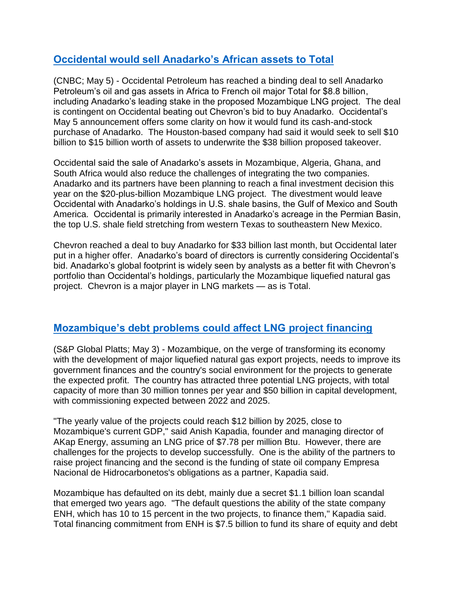# **[Occidental would sell Anadarko's African assets to Total](https://www.cnbc.com/2019/05/05/occidental-inks-deal-to-sell-anadarkos-africa-assets-to-total.html)**

(CNBC; May 5) - Occidental Petroleum has reached a binding deal to sell Anadarko Petroleum's oil and gas assets in Africa to French oil major Total for \$8.8 billion, including Anadarko's leading stake in the proposed Mozambique LNG project. The deal is contingent on Occidental beating out Chevron's bid to buy Anadarko. Occidental's May 5 announcement offers some clarity on how it would fund its cash-and-stock purchase of Anadarko. The Houston-based company had said it would seek to sell \$10 billion to \$15 billion worth of assets to underwrite the \$38 billion proposed takeover.

Occidental said the sale of Anadarko's assets in Mozambique, Algeria, Ghana, and South Africa would also reduce the challenges of integrating the two companies. Anadarko and its partners have been planning to reach a final investment decision this year on the \$20-plus-billion Mozambique LNG project. The divestment would leave Occidental with Anadarko's holdings in U.S. shale basins, the Gulf of Mexico and South America. Occidental is primarily interested in Anadarko's acreage in the Permian Basin, the top U.S. shale field stretching from western Texas to southeastern New Mexico.

Chevron reached a deal to buy Anadarko for \$33 billion last month, but Occidental later put in a higher offer. Anadarko's board of directors is currently considering Occidental's bid. Anadarko's global footprint is widely seen by analysts as a better fit with Chevron's portfolio than Occidental's holdings, particularly the Mozambique liquefied natural gas project. Chevron is a major player in LNG markets — as is Total.

## **[Mozambique's debt problems could affect LNG project financing](https://www.spglobal.com/platts/en/market-insights/latest-news/natural-gas/050319-analysis-mozambique-lng-projects-challenged-by-financing-and-social-issues)**

(S&P Global Platts; May 3) - Mozambique, on the verge of transforming its economy with the development of major liquefied natural gas export projects, needs to improve its government finances and the country's social environment for the projects to generate the expected profit. The country has attracted three potential LNG projects, with total capacity of more than 30 million tonnes per year and \$50 billion in capital development, with commissioning expected between 2022 and 2025.

"The yearly value of the projects could reach \$12 billion by 2025, close to Mozambique's current GDP," said Anish Kapadia, founder and managing director of AKap Energy, assuming an LNG price of \$7.78 per million Btu. However, there are challenges for the projects to develop successfully. One is the ability of the partners to raise project financing and the second is the funding of state oil company Empresa Nacional de Hidrocarbonetos's obligations as a partner, Kapadia said.

Mozambique has defaulted on its debt, mainly due a secret \$1.1 billion loan scandal that emerged two years ago. "The default questions the ability of the state company ENH, which has 10 to 15 percent in the two projects, to finance them," Kapadia said. Total financing commitment from ENH is \$7.5 billion to fund its share of equity and debt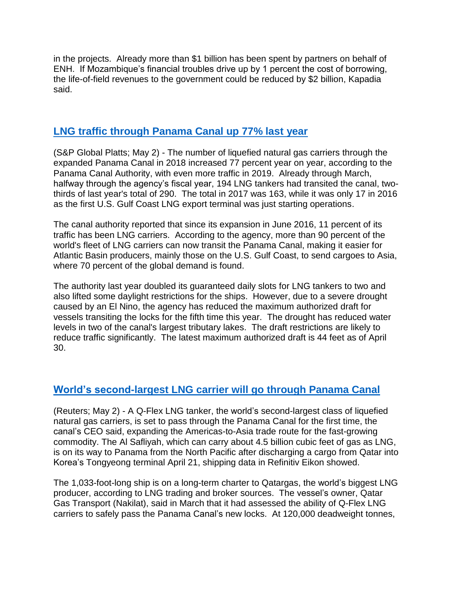in the projects. Already more than \$1 billion has been spent by partners on behalf of ENH. If Mozambique's financial troubles drive up by 1 percent the cost of borrowing, the life-of-field revenues to the government could be reduced by \$2 billion, Kapadia said.

#### **[LNG traffic through Panama Canal up 77% last year](https://www.spglobal.com/platts/en/market-insights/latest-news/natural-gas/050219-number-of-lng-tankers-passing-through-panama-canal-in-2018-up-77-on-year-canal-authority)**

(S&P Global Platts; May 2) - The number of liquefied natural gas carriers through the expanded Panama Canal in 2018 increased 77 percent year on year, according to the Panama Canal Authority, with even more traffic in 2019. Already through March, halfway through the agency's fiscal year, 194 LNG tankers had transited the canal, twothirds of last year's total of 290. The total in 2017 was 163, while it was only 17 in 2016 as the first U.S. Gulf Coast LNG export terminal was just starting operations.

The canal authority reported that since its expansion in June 2016, 11 percent of its traffic has been LNG carriers. According to the agency, more than 90 percent of the world's fleet of LNG carriers can now transit the Panama Canal, making it easier for Atlantic Basin producers, mainly those on the U.S. Gulf Coast, to send cargoes to Asia, where 70 percent of the global demand is found.

The authority last year doubled its guaranteed daily slots for LNG tankers to two and also lifted some daylight restrictions for the ships. However, due to a severe drought caused by an El Nino, the agency has reduced the maximum authorized draft for vessels transiting the locks for the fifth time this year. The drought has reduced water levels in two of the canal's largest tributary lakes. The draft restrictions are likely to reduce traffic significantly. The latest maximum authorized draft is 44 feet as of April 30.

## **[World's second-largest LNG carrier will go through Panama Canal](https://www.reuters.com/article/us-lng-tanker-panamacanal/worlds-second-biggest-lng-tanker-class-vessel-to-transit-panama-canal-for-first-time-idUSKCN1S906D)**

(Reuters; May 2) - A Q-Flex LNG tanker, the world's second-largest class of liquefied natural gas carriers, is set to pass through the Panama Canal for the first time, the canal's CEO said, expanding the Americas-to-Asia trade route for the fast-growing commodity. The Al Safliyah, which can carry about 4.5 billion cubic feet of gas as LNG, is on its way to Panama from the North Pacific after discharging a cargo from Qatar into Korea's Tongyeong terminal April 21, shipping data in Refinitiv Eikon showed.

The 1,033-foot-long ship is on a long-term charter to Qatargas, the world's biggest LNG producer, according to LNG trading and broker sources. The vessel's owner, Qatar Gas Transport (Nakilat), said in March that it had assessed the ability of Q-Flex LNG carriers to safely pass the Panama Canal's new locks. At 120,000 deadweight tonnes,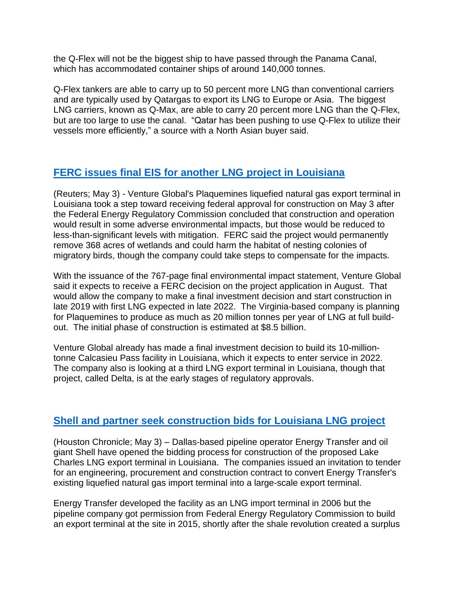the Q-Flex will not be the biggest ship to have passed through the Panama Canal, which has accommodated container ships of around 140,000 tonnes.

Q-Flex tankers are able to carry up to 50 percent more LNG than conventional carriers and are typically used by Qatargas to export its LNG to Europe or Asia. The biggest LNG carriers, known as Q-Max, are able to carry 20 percent more LNG than the Q-Flex, but are too large to use the canal. "Qatar has been pushing to use Q-Flex to utilize their vessels more efficiently," a source with a North Asian buyer said.

# **[FERC issues final EIS for another LNG project in Louisiana](https://finance.yahoo.com/news/venture-globals-louisiana-lng-plant-153620867.html)**

(Reuters; May 3) - Venture Global's Plaquemines liquefied natural gas export terminal in Louisiana took a step toward receiving federal approval for construction on May 3 after the Federal Energy Regulatory Commission concluded that construction and operation would result in some adverse environmental impacts, but those would be reduced to less-than-significant levels with mitigation. FERC said the project would permanently remove 368 acres of wetlands and could harm the habitat of nesting colonies of migratory birds, though the company could take steps to compensate for the impacts.

With the issuance of the 767-page final environmental impact statement, Venture Global said it expects to receive a FERC decision on the project application in August. That would allow the company to make a final investment decision and start construction in late 2019 with first LNG expected in late 2022. The Virginia-based company is planning for Plaquemines to produce as much as 20 million tonnes per year of LNG at full buildout. The initial phase of construction is estimated at \$8.5 billion.

Venture Global already has made a final investment decision to build its 10-milliontonne Calcasieu Pass facility in Louisiana, which it expects to enter service in 2022. The company also is looking at a third LNG export terminal in Louisiana, though that project, called Delta, is at the early stages of regulatory approvals.

## **[Shell and partner seek construction bids for Louisiana LNG project](https://www.houstonchronicle.com/business/energy/article/Energy-Transfer-Shell-open-construction-bids-for-13817017.php)**

(Houston Chronicle; May 3) – Dallas-based pipeline operator Energy Transfer and oil giant Shell have opened the bidding process for construction of the proposed Lake Charles LNG export terminal in Louisiana. The companies issued an invitation to tender for an engineering, procurement and construction contract to convert Energy Transfer's existing liquefied natural gas import terminal into a large-scale export terminal.

Energy Transfer developed the facility as an LNG import terminal in 2006 but the pipeline company got permission from Federal Energy Regulatory Commission to build an export terminal at the site in 2015, shortly after the shale revolution created a surplus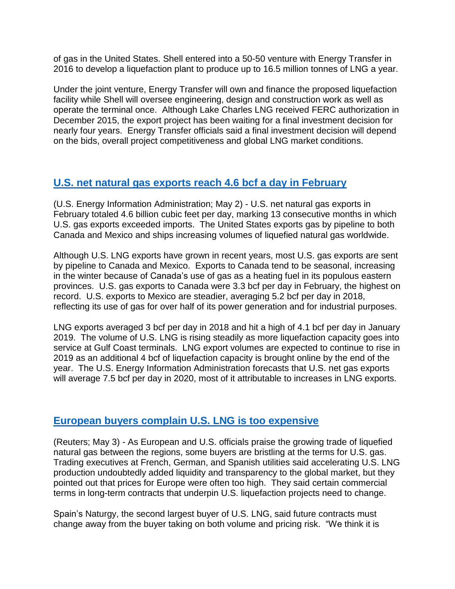of gas in the United States. Shell entered into a 50-50 venture with Energy Transfer in 2016 to develop a liquefaction plant to produce up to 16.5 million tonnes of LNG a year.

Under the joint venture, Energy Transfer will own and finance the proposed liquefaction facility while Shell will oversee engineering, design and construction work as well as operate the terminal once. Although Lake Charles LNG received FERC authorization in December 2015, the export project has been waiting for a final investment decision for nearly four years. Energy Transfer officials said a final investment decision will depend on the bids, overall project competitiveness and global LNG market conditions.

## **[U.S. net natural gas exports reach 4.6 bcf a day in February](https://www.eia.gov/todayinenergy/detail.php?id=39312)**

(U.S. Energy Information Administration; May 2) - U.S. net natural gas exports in February totaled 4.6 billion cubic feet per day, marking 13 consecutive months in which U.S. gas exports exceeded imports. The United States exports gas by pipeline to both Canada and Mexico and ships increasing volumes of liquefied natural gas worldwide.

Although U.S. LNG exports have grown in recent years, most U.S. gas exports are sent by pipeline to Canada and Mexico. Exports to Canada tend to be seasonal, increasing in the winter because of Canada's use of gas as a heating fuel in its populous eastern provinces. U.S. gas exports to Canada were 3.3 bcf per day in February, the highest on record. U.S. exports to Mexico are steadier, averaging 5.2 bcf per day in 2018, reflecting its use of gas for over half of its power generation and for industrial purposes.

LNG exports averaged 3 bcf per day in 2018 and hit a high of 4.1 bcf per day in January 2019. The volume of U.S. LNG is rising steadily as more liquefaction capacity goes into service at Gulf Coast terminals. LNG export volumes are expected to continue to rise in 2019 as an additional 4 bcf of liquefaction capacity is brought online by the end of the year. The U.S. Energy Information Administration forecasts that U.S. net gas exports will average 7.5 bcf per day in 2020, most of it attributable to increases in LNG exports.

## **[European buyers complain U.S. LNG is too expensive](https://www.reuters.com/article/us-europe-usa-lng/european-buyers-of-u-s-gas-bristle-at-terms-idUSKCN1S90NX)**

(Reuters; May 3) - As European and U.S. officials praise the growing trade of liquefied natural gas between the regions, some buyers are bristling at the terms for U.S. gas. Trading executives at French, German, and Spanish utilities said accelerating U.S. LNG production undoubtedly added liquidity and transparency to the global market, but they pointed out that prices for Europe were often too high. They said certain commercial terms in long-term contracts that underpin U.S. liquefaction projects need to change.

Spain's Naturgy, the second largest buyer of U.S. LNG, said future contracts must change away from the buyer taking on both volume and pricing risk. "We think it is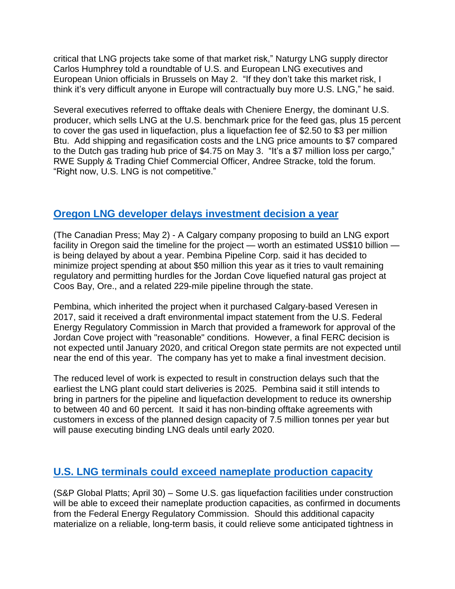critical that LNG projects take some of that market risk," Naturgy LNG supply director Carlos Humphrey told a roundtable of U.S. and European LNG executives and European Union officials in Brussels on May 2. "If they don't take this market risk, I think it's very difficult anyone in Europe will contractually buy more U.S. LNG," he said.

Several executives referred to offtake deals with Cheniere Energy, the dominant U.S. producer, which sells LNG at the U.S. benchmark price for the feed gas, plus 15 percent to cover the gas used in liquefaction, plus a liquefaction fee of \$2.50 to \$3 per million Btu. Add shipping and regasification costs and the LNG price amounts to \$7 compared to the Dutch gas trading hub price of \$4.75 on May 3. "It's a \$7 million loss per cargo," RWE Supply & Trading Chief Commercial Officer, Andree Stracke, told the forum. "Right now, U.S. LNG is not competitive."

#### **[Oregon LNG developer delays investment decision a year](https://www.cbc.ca/news/canada/calgary/canadian-lng-project-delayed-1.5120991)**

(The Canadian Press; May 2) - A Calgary company proposing to build an LNG export facility in Oregon said the timeline for the project — worth an estimated US\$10 billion is being delayed by about a year. Pembina Pipeline Corp. said it has decided to minimize project spending at about \$50 million this year as it tries to vault remaining regulatory and permitting hurdles for the Jordan Cove liquefied natural gas project at Coos Bay, Ore., and a related 229-mile pipeline through the state.

Pembina, which inherited the project when it purchased Calgary-based Veresen in 2017, said it received a draft environmental impact statement from the U.S. Federal Energy Regulatory Commission in March that provided a framework for approval of the Jordan Cove project with "reasonable" conditions. However, a final FERC decision is not expected until January 2020, and critical Oregon state permits are not expected until near the end of this year. The company has yet to make a final investment decision.

The reduced level of work is expected to result in construction delays such that the earliest the LNG plant could start deliveries is 2025. Pembina said it still intends to bring in partners for the pipeline and liquefaction development to reduce its ownership to between 40 and 60 percent. It said it has non-binding offtake agreements with customers in excess of the planned design capacity of 7.5 million tonnes per year but will pause executing binding LNG deals until early 2020.

## **U.S. LNG terminals could exceed [nameplate production](https://blogs.platts.com/2019/04/30/new-lng-nameplate-capacities/) capacity**

(S&P Global Platts; April 30) – Some U.S. gas liquefaction facilities under construction will be able to exceed their nameplate production capacities, as confirmed in documents from the Federal Energy Regulatory Commission. Should this additional capacity materialize on a reliable, long-term basis, it could relieve some anticipated tightness in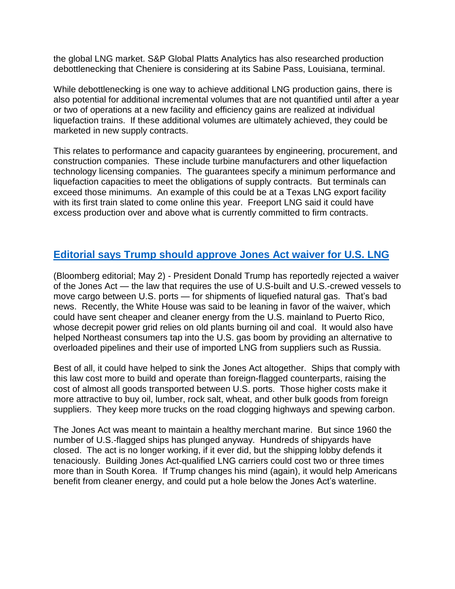the global LNG market. S&P Global Platts Analytics has also researched production debottlenecking that Cheniere is considering at its Sabine Pass, Louisiana, terminal.

While debottlenecking is one way to achieve additional LNG production gains, there is also potential for additional incremental volumes that are not quantified until after a year or two of operations at a new facility and efficiency gains are realized at individual liquefaction trains. If these additional volumes are ultimately achieved, they could be marketed in new supply contracts.

This relates to performance and capacity guarantees by engineering, procurement, and construction companies. These include turbine manufacturers and other liquefaction technology licensing companies. The guarantees specify a minimum performance and liquefaction capacities to meet the obligations of supply contracts. But terminals can exceed those minimums. An example of this could be at a Texas LNG export facility with its first train slated to come online this year. Freeport LNG said it could have excess production over and above what is currently committed to firm contracts.

## **[Editorial says Trump should](https://www.bloomberg.com/opinion/articles/2019-05-02/trump-s-misguided-u-turn-on-the-jones-act) approve Jones Act waiver for U.S. LNG**

(Bloomberg editorial; May 2) - President Donald Trump has reportedly rejected a waiver of the Jones Act — the law that requires the use of U.S-built and U.S.-crewed vessels to move cargo between U.S. ports — for shipments of liquefied natural gas. That's bad news. Recently, the White House was said to be leaning in favor of the waiver, which could have sent cheaper and cleaner energy from the U.S. mainland to Puerto Rico, whose decrepit power grid relies on old plants burning oil and coal. It would also have helped Northeast consumers tap into the U.S. gas boom by providing an alternative to overloaded pipelines and their use of imported LNG from suppliers such as Russia.

Best of all, it could have helped to sink the Jones Act altogether. Ships that comply with this law cost more to build and operate than foreign-flagged counterparts, raising the cost of almost all goods transported between U.S. ports. Those higher costs make it more attractive to buy oil, lumber, rock salt, wheat, and other bulk goods from foreign suppliers. They keep more trucks on the road clogging highways and spewing carbon.

The Jones Act was meant to maintain a healthy merchant marine. But since 1960 the number of U.S.-flagged ships has plunged anyway. Hundreds of shipyards have closed. The act is no longer working, if it ever did, but the shipping lobby defends it tenaciously. Building Jones Act-qualified LNG carriers could cost two or three times more than in South Korea. If Trump changes his mind (again), it would help Americans benefit from cleaner energy, and could put a hole below the Jones Act's waterline.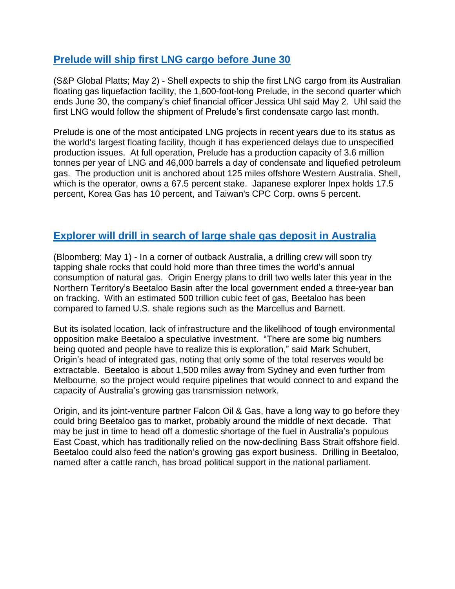## **[Prelude will ship first LNG cargo before June 30](https://www.spglobal.com/platts/en/market-insights/latest-news/natural-gas/050219-shell-to-ship-first-cargo-of-lng-from-australias-prelude-in-q2-cfo)**

(S&P Global Platts; May 2) - Shell expects to ship the first LNG cargo from its Australian floating gas liquefaction facility, the 1,600-foot-long Prelude, in the second quarter which ends June 30, the company's chief financial officer Jessica Uhl said May 2. Uhl said the first LNG would follow the shipment of Prelude's first condensate cargo last month.

Prelude is one of the most anticipated LNG projects in recent years due to its status as the world's largest floating facility, though it has experienced delays due to unspecified production issues. At full operation, Prelude has a production capacity of 3.6 million tonnes per year of LNG and 46,000 barrels a day of condensate and liquefied petroleum gas. The production unit is anchored about 125 miles offshore Western Australia. Shell, which is the operator, owns a 67.5 percent stake. Japanese explorer Inpex holds 17.5 percent, Korea Gas has 10 percent, and Taiwan's CPC Corp. owns 5 percent.

## **[Explorer will drill in search of large shale gas deposit in Australia](https://www.bloomberg.com/news/articles/2019-05-01/in-crocodile-dundee-country-australia-hunts-for-giant-gas-prize)**

(Bloomberg; May 1) - In a corner of outback Australia, a drilling crew will soon try tapping shale rocks that could hold more than three times the world's annual consumption of natural gas. Origin Energy plans to drill two wells later this year in the Northern Territory's Beetaloo Basin after the local government ended a three-year ban on fracking. With an estimated 500 trillion cubic feet of gas, Beetaloo has been compared to famed U.S. shale regions such as the Marcellus and Barnett.

But its isolated location, lack of infrastructure and the likelihood of tough environmental opposition make Beetaloo a speculative investment. "There are some big numbers being quoted and people have to realize this is exploration," said Mark Schubert, Origin's head of integrated gas, noting that only some of the total reserves would be extractable. Beetaloo is about 1,500 miles away from Sydney and even further from Melbourne, so the project would require pipelines that would connect to and expand the capacity of Australia's growing gas transmission network.

Origin, and its joint-venture partner Falcon Oil & Gas, have a long way to go before they could bring Beetaloo gas to market, probably around the middle of next decade. That may be just in time to head off a domestic shortage of the fuel in Australia's populous East Coast, which has traditionally relied on the now-declining Bass Strait offshore field. Beetaloo could also feed the nation's growing gas export business. Drilling in Beetaloo, named after a cattle ranch, has broad political support in the national parliament.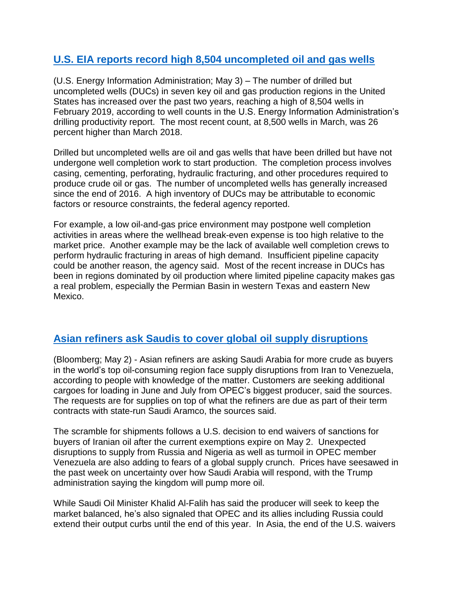## **[U.S. EIA reports record high 8,504 uncompleted oil and gas wells](https://www.eia.gov/todayinenergy/detail.php?id=39332)**

(U.S. Energy Information Administration; May 3) – The number of drilled but uncompleted wells (DUCs) in seven key oil and gas production regions in the United States has increased over the past two years, reaching a high of 8,504 wells in February 2019, according to well counts in the U.S. Energy Information Administration's drilling productivity report. The most recent count, at 8,500 wells in March, was 26 percent higher than March 2018.

Drilled but uncompleted wells are oil and gas wells that have been drilled but have not undergone well completion work to start production. The completion process involves casing, cementing, perforating, hydraulic fracturing, and other procedures required to produce crude oil or gas. The number of uncompleted wells has generally increased since the end of 2016. A high inventory of DUCs may be attributable to economic factors or resource constraints, the federal agency reported.

For example, a low oil-and-gas price environment may postpone well completion activities in areas where the wellhead break-even expense is too high relative to the market price. Another example may be the lack of available well completion crews to perform hydraulic fracturing in areas of high demand. Insufficient pipeline capacity could be another reason, the agency said. Most of the recent increase in DUCs has been in regions dominated by oil production where limited pipeline capacity makes gas a real problem, especially the Permian Basin in western Texas and eastern New Mexico.

#### **Asian refiners ask Saudis to cover global oil supply [disruptions](https://www.bloomberg.com/news/articles/2019-05-02/saudis-said-to-get-asked-for-more-oil-by-asia-as-supply-squeezed)**

(Bloomberg; May 2) - Asian refiners are asking Saudi Arabia for more crude as buyers in the world's top oil-consuming region face supply disruptions from Iran to Venezuela, according to people with knowledge of the matter. Customers are seeking additional cargoes for loading in June and July from OPEC's biggest producer, said the sources. The requests are for supplies on top of what the refiners are due as part of their term contracts with state-run Saudi Aramco, the sources said.

The scramble for shipments follows a U.S. decision to end waivers of sanctions for buyers of Iranian oil after the current exemptions expire on May 2. Unexpected disruptions to supply from Russia and Nigeria as well as turmoil in OPEC member Venezuela are also adding to fears of a global supply crunch. Prices have seesawed in the past week on uncertainty over how Saudi Arabia will respond, with the Trump administration saying the kingdom will pump more oil.

While Saudi Oil Minister Khalid Al-Falih has said the producer will seek to keep the market balanced, he's also signaled that OPEC and its allies including Russia could extend their output curbs until the end of this year. In Asia, the end of the U.S. waivers